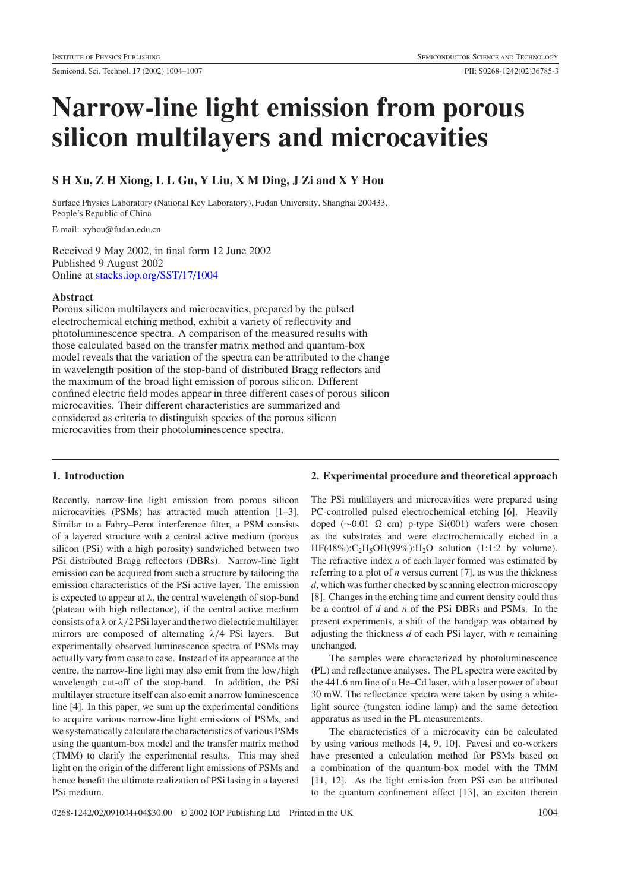# **Narrow-line light emission from porous silicon multilayers and microcavities**

# **S H Xu, Z H Xiong, L L Gu, Y Liu, X M Ding, J Zi and X Y Hou**

Surface Physics Laboratory (National Key Laboratory), Fudan University, Shanghai 200433, People's Republic of China

E-mail: xyhou@fudan.edu.cn

Received 9 May 2002, in final form 12 June 2002 Published 9 August 2002 Online at [stacks.iop.org/SST/17/1004](stacks.iop.org/ss/17/1004)

## **Abstract**

Porous silicon multilayers and microcavities, prepared by the pulsed electrochemical etching method, exhibit a variety of reflectivity and photoluminescence spectra. A comparison of the measured results with those calculated based on the transfer matrix method and quantum-box model reveals that the variation of the spectra can be attributed to the change in wavelength position of the stop-band of distributed Bragg reflectors and the maximum of the broad light emission of porous silicon. Different confined electric field modes appear in three different cases of porous silicon microcavities. Their different characteristics are summarized and considered as criteria to distinguish species of the porous silicon microcavities from their photoluminescence spectra.

## **1. Introduction**

Recently, narrow-line light emission from porous silicon microcavities (PSMs) has attracted much attention [1–3]. Similar to a Fabry–Perot interference filter, a PSM consists of a layered structure with a central active medium (porous silicon (PSi) with a high porosity) sandwiched between two PSi distributed Bragg reflectors (DBRs). Narrow-line light emission can be acquired from such a structure by tailoring the emission characteristics of the PSi active layer. The emission is expected to appear at  $\lambda$ , the central wavelength of stop-band (plateau with high reflectance), if the central active medium consists of a  $\lambda$  or  $\lambda/2$  PSi layer and the two dielectric multilayer mirrors are composed of alternating  $\lambda/4$  PSi layers. But experimentally observed luminescence spectra of PSMs may actually vary from case to case. Instead of its appearance at the centre, the narrow-line light may also emit from the low/high wavelength cut-off of the stop-band. In addition, the PSi multilayer structure itself can also emit a narrow luminescence line [4]. In this paper, we sum up the experimental conditions to acquire various narrow-line light emissions of PSMs, and we systematically calculate the characteristics of various PSMs using the quantum-box model and the transfer matrix method (TMM) to clarify the experimental results. This may shed light on the origin of the different light emissions of PSMs and hence benefit the ultimate realization of PSi lasing in a layered PSi medium.

# **2. Experimental procedure and theoretical approach**

The PSi multilayers and microcavities were prepared using PC-controlled pulsed electrochemical etching [6]. Heavily doped (∼0.01 Ω cm) p-type Si(001) wafers were chosen as the substrates and were electrochemically etched in a  $HF(48\%)$ :C<sub>2</sub>H<sub>5</sub>OH(99%):H<sub>2</sub>O solution (1:1:2 by volume). The refractive index *n* of each layer formed was estimated by referring to a plot of *n* versus current [7], as was the thickness *d*, which was further checked by scanning electron microscopy [8]. Changes in the etching time and current density could thus be a control of *d* and *n* of the PSi DBRs and PSMs. In the present experiments, a shift of the bandgap was obtained by adjusting the thickness *d* of each PSi layer, with *n* remaining unchanged.

The samples were characterized by photoluminescence (PL) and reflectance analyses. The PL spectra were excited by the 441.6 nm line of a He–Cd laser, with a laser power of about 30 mW. The reflectance spectra were taken by using a whitelight source (tungsten iodine lamp) and the same detection apparatus as used in the PL measurements.

The characteristics of a microcavity can be calculated by using various methods [4, 9, 10]. Pavesi and co-workers have presented a calculation method for PSMs based on a combination of the quantum-box model with the TMM [11, 12]. As the light emission from PSi can be attributed to the quantum confinement effect [13], an exciton therein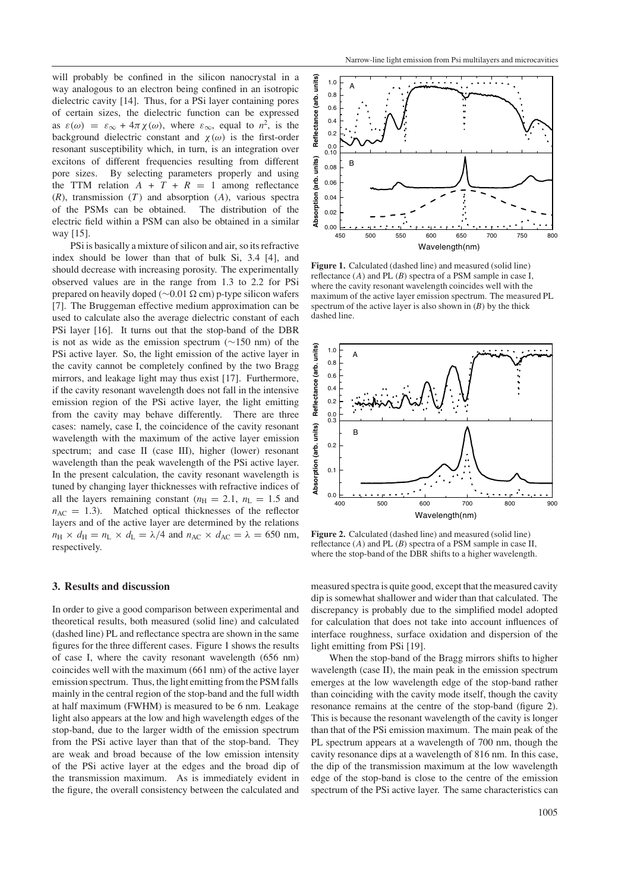will probably be confined in the silicon nanocrystal in a way analogous to an electron being confined in an isotropic dielectric cavity [14]. Thus, for a PSi layer containing pores of certain sizes, the dielectric function can be expressed as  $\varepsilon(\omega) = \varepsilon_{\infty} + 4\pi \chi(\omega)$ , where  $\varepsilon_{\infty}$ , equal to  $n^2$ , is the background dielectric constant and  $\chi(\omega)$  is the first-order resonant susceptibility which, in turn, is an integration over excitons of different frequencies resulting from different pore sizes. By selecting parameters properly and using the TTM relation  $A + T + R = 1$  among reflectance  $(R)$ , transmission  $(T)$  and absorption  $(A)$ , various spectra of the PSMs can be obtained. The distribution of the electric field within a PSM can also be obtained in a similar way [15].

PSi is basically a mixture of silicon and air, so its refractive index should be lower than that of bulk Si, 3.4 [4], and should decrease with increasing porosity. The experimentally observed values are in the range from 1.3 to 2.2 for PSi prepared on heavily doped ( $\sim$ 0.01  $\Omega$  cm) p-type silicon wafers [7]. The Bruggeman effective medium approximation can be used to calculate also the average dielectric constant of each PSi layer [16]. It turns out that the stop-band of the DBR is not as wide as the emission spectrum (∼150 nm) of the PSi active layer. So, the light emission of the active layer in the cavity cannot be completely confined by the two Bragg mirrors, and leakage light may thus exist [17]. Furthermore, if the cavity resonant wavelength does not fall in the intensive emission region of the PSi active layer, the light emitting from the cavity may behave differently. There are three cases: namely, case I, the coincidence of the cavity resonant wavelength with the maximum of the active layer emission spectrum; and case II (case III), higher (lower) resonant wavelength than the peak wavelength of the PSi active layer. In the present calculation, the cavity resonant wavelength is tuned by changing layer thicknesses with refractive indices of all the layers remaining constant ( $n_{\text{H}} = 2.1$ ,  $n_{\text{L}} = 1.5$  and  $n_{AC}$  = 1.3). Matched optical thicknesses of the reflector layers and of the active layer are determined by the relations  $n_{\rm H} \times d_{\rm H} = n_{\rm L} \times d_{\rm L} = \lambda/4$  and  $n_{\rm AC} \times d_{\rm AC} = \lambda = 650$  nm, respectively.

#### **3. Results and discussion**

In order to give a good comparison between experimental and theoretical results, both measured (solid line) and calculated (dashed line) PL and reflectance spectra are shown in the same figures for the three different cases. Figure [1](#page-1-0) shows the results of case I, where the cavity resonant wavelength (656 nm) coincides well with the maximum (661 nm) of the active layer emission spectrum. Thus, the light emitting from the PSM falls mainly in the central region of the stop-band and the full width at half maximum (FWHM) is measured to be 6 nm. Leakage light also appears at the low and high wavelength edges of the stop-band, due to the larger width of the emission spectrum from the PSi active layer than that of the stop-band. They are weak and broad because of the low emission intensity of the PSi active layer at the edges and the broad dip of the transmission maximum. As is immediately evident in the figure, the overall consistency between the calculated and



<span id="page-1-0"></span>Figure 1. Calculated (dashed line) and measured (solid line) reflectance (A) and PL (*B*) spectra of a PSM sample in case I, where the cavity resonant wavelength coincides well with the maximum of the active layer emission spectrum. The measured PL spectrum of the active layer is also shown in  $(B)$  by the thick dashed line.



<span id="page-1-1"></span>**Figure 2.** Calculated (dashed line) and measured (solid line) reflectance (A) and PL (*B*) spectra of a PSM sample in case II, where the stop-band of the DBR shifts to a higher wavelength.

measured spectra is quite good, except that the measured cavity dip is somewhat shallower and wider than that calculated. The discrepancy is probably due to the simplified model adopted for calculation that does not take into account influences of interface roughness, surface oxidation and dispersion of the light emitting from PSi [19].

When the stop-band of the Bragg mirrors shifts to higher wavelength (case II), the main peak in the emission spectrum emerges at the low wavelength edge of the stop-band rather than coinciding with the cavity mode itself, though the cavity resonance remains at the centre of the stop-band (figure [2\)](#page-1-1). This is because the resonant wavelength of the cavity is longer than that of the PSi emission maximum. The main peak of the PL spectrum appears at a wavelength of 700 nm, though the cavity resonance dips at a wavelength of 816 nm. In this case, the dip of the transmission maximum at the low wavelength edge of the stop-band is close to the centre of the emission spectrum of the PSi active layer. The same characteristics can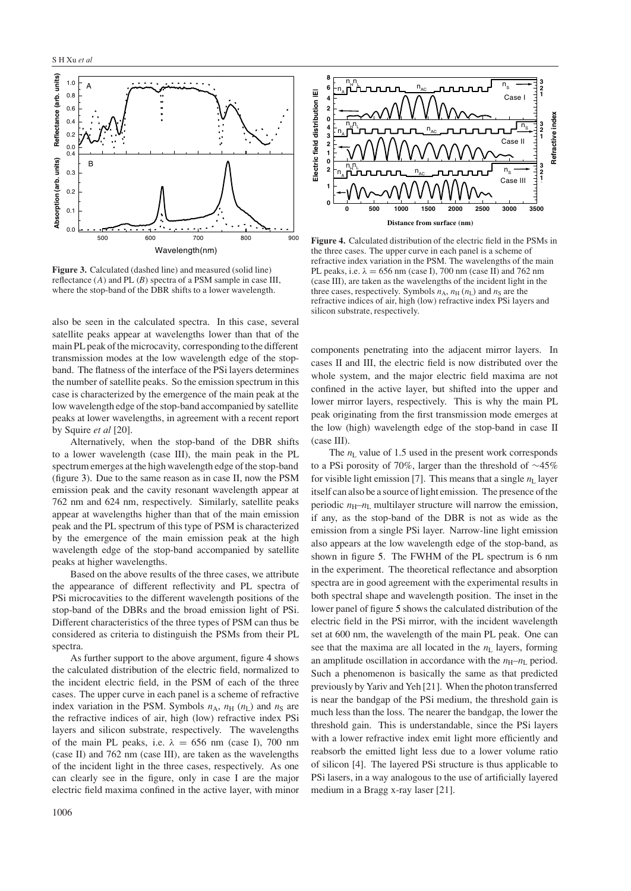

<span id="page-2-0"></span>**Figure 3.** Calculated (dashed line) and measured (solid line) reflectance (A) and PL (*B*) spectra of a PSM sample in case III, where the stop-band of the DBR shifts to a lower wavelength.

also be seen in the calculated spectra. In this case, several satellite peaks appear at wavelengths lower than that of the main PL peak of the microcavity, corresponding to the different transmission modes at the low wavelength edge of the stopband. The flatness of the interface of the PSi layers determines the number of satellite peaks. So the emission spectrum in this case is characterized by the emergence of the main peak at the low wavelength edge of the stop-band accompanied by satellite peaks at lower wavelengths, in agreement with a recent report by Squire *et al* [20].

Alternatively, when the stop-band of the DBR shifts to a lower wavelength (case III), the main peak in the PL spectrum emerges at the high wavelength edge of the stop-band (figure [3\)](#page-2-0). Due to the same reason as in case II, now the PSM emission peak and the cavity resonant wavelength appear at 762 nm and 624 nm, respectively. Similarly, satellite peaks appear at wavelengths higher than that of the main emission peak and the PL spectrum of this type of PSM is characterized by the emergence of the main emission peak at the high wavelength edge of the stop-band accompanied by satellite peaks at higher wavelengths.

Based on the above results of the three cases, we attribute the appearance of different reflectivity and PL spectra of PSi microcavities to the different wavelength positions of the stop-band of the DBRs and the broad emission light of PSi. Different characteristics of the three types of PSM can thus be considered as criteria to distinguish the PSMs from their PL spectra.

As further support to the above argument, figure [4](#page-2-1) shows the calculated distribution of the electric field, normalized to the incident electric field, in the PSM of each of the three cases. The upper curve in each panel is a scheme of refractive index variation in the PSM. Symbols  $n_A$ ,  $n_H$  ( $n_L$ ) and  $n_S$  are the refractive indices of air, high (low) refractive index PSi layers and silicon substrate, respectively. The wavelengths of the main PL peaks, i.e.  $\lambda = 656$  nm (case I), 700 nm (case II) and 762 nm (case III), are taken as the wavelengths of the incident light in the three cases, respectively. As one can clearly see in the figure, only in case I are the major electric field maxima confined in the active layer, with minor



<span id="page-2-1"></span>**Figure 4.** Calculated distribution of the electric field in the PSMs in the three cases. The upper curve in each panel is a scheme of refractive index variation in the PSM. The wavelengths of the main PL peaks, i.e.  $\lambda = 656$  nm (case I), 700 nm (case II) and 762 nm (case III), are taken as the wavelengths of the incident light in the three cases, respectively. Symbols  $n_A$ ,  $n_H$  ( $n_L$ ) and  $n_S$  are the refractive indices of air, high (low) refractive index PSi layers and silicon substrate, respectively.

components penetrating into the adjacent mirror layers. In cases II and III, the electric field is now distributed over the whole system, and the major electric field maxima are not confined in the active layer, but shifted into the upper and lower mirror layers, respectively. This is why the main PL peak originating from the first transmission mode emerges at the low (high) wavelength edge of the stop-band in case II (case III).

The  $n_L$  value of 1.5 used in the present work corresponds to a PSi porosity of 70%, larger than the threshold of ∼45% for visible light emission [7]. This means that a single  $n<sub>L</sub>$  layer itself can also be a source of light emission. The presence of the periodic  $n_{\text{H}}-n_{\text{L}}$  multilayer structure will narrow the emission, if any, as the stop-band of the DBR is not as wide as the emission from a single PSi layer. Narrow-line light emission also appears at the low wavelength edge of the stop-band, as shown in figure [5.](#page-3-0) The FWHM of the PL spectrum is 6 nm in the experiment. The theoretical reflectance and absorption spectra are in good agreement with the experimental results in both spectral shape and wavelength position. The inset in the lower panel of figure [5](#page-3-0) shows the calculated distribution of the electric field in the PSi mirror, with the incident wavelength set at 600 nm, the wavelength of the main PL peak. One can see that the maxima are all located in the  $n<sub>L</sub>$  layers, forming an amplitude oscillation in accordance with the  $n_{\text{H}}-n_{\text{L}}$  period. Such a phenomenon is basically the same as that predicted previously by Yariv and Yeh [21]. When the photon transferred is near the bandgap of the PSi medium, the threshold gain is much less than the loss. The nearer the bandgap, the lower the threshold gain. This is understandable, since the PSi layers with a lower refractive index emit light more efficiently and reabsorb the emitted light less due to a lower volume ratio of silicon [4]. The layered PSi structure is thus applicable to PSi lasers, in a way analogous to the use of artificially layered medium in a Bragg x-ray laser [21].